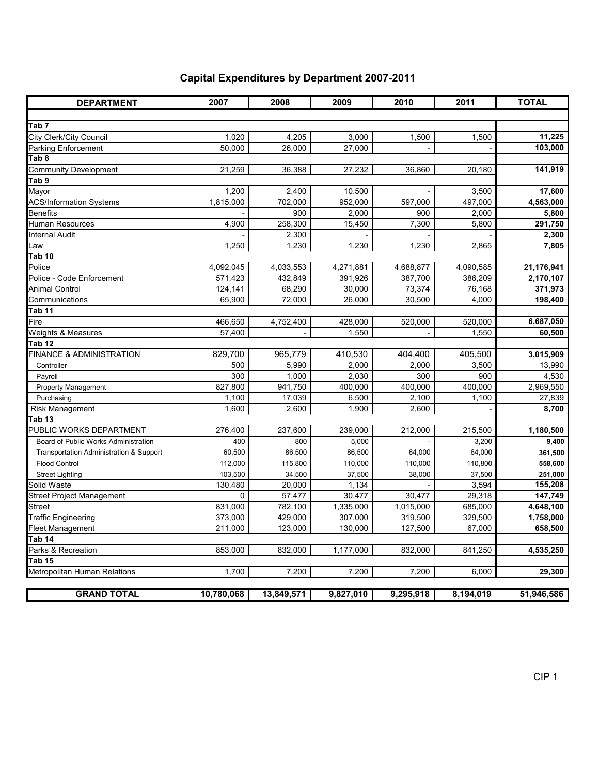| <b>DEPARTMENT</b>                       | 2007       | 2008       | 2009      | 2010      | 2011      | <b>TOTAL</b> |
|-----------------------------------------|------------|------------|-----------|-----------|-----------|--------------|
|                                         |            |            |           |           |           |              |
| Tab <sub>7</sub>                        |            |            |           |           |           |              |
| City Clerk/City Council                 | 1,020      | 4,205      | 3,000     | 1,500     | 1,500     | 11,225       |
| Parking Enforcement                     | 50,000     | 26,000     | 27,000    |           |           | 103,000      |
| Tab 8                                   |            |            |           |           |           |              |
| <b>Community Development</b>            | 21,259     | 36,388     | 27,232    | 36,860    | 20,180    | 141,919      |
| Tab 9                                   |            |            |           |           |           |              |
| Mayor                                   | 1,200      | 2,400      | 10,500    |           | 3,500     | 17,600       |
| <b>ACS/Information Systems</b>          | 1,815,000  | 702,000    | 952,000   | 597,000   | 497,000   | 4,563,000    |
| <b>Benefits</b>                         |            | 900        | 2,000     | 900       | 2,000     | 5,800        |
| Human Resources                         | 4,900      | 258,300    | 15,450    | 7,300     | 5,800     | 291,750      |
| <b>Internal Audit</b>                   |            | 2,300      |           |           |           | 2,300        |
| Law                                     | 1,250      | 1,230      | 1,230     | 1,230     | 2,865     | 7,805        |
| Tab 10                                  |            |            |           |           |           |              |
| Police                                  | 4,092,045  | 4,033,553  | 4,271,881 | 4,688,877 | 4,090,585 | 21,176,941   |
| Police - Code Enforcement               | 571,423    | 432,849    | 391,926   | 387,700   | 386,209   | 2,170,107    |
| <b>Animal Control</b>                   | 124,141    | 68,290     | 30,000    | 73,374    | 76,168    | 371,973      |
| Communications                          | 65.900     | 72,000     | 26,000    | 30,500    | 4.000     | 198,400      |
| Tab 11                                  |            |            |           |           |           |              |
| Fire                                    | 466,650    | 4,752,400  | 428,000   | 520,000   | 520,000   | 6,687,050    |
| Weights & Measures                      | 57,400     |            | 1,550     |           | 1,550     | 60,500       |
| Tab 12                                  |            |            |           |           |           |              |
| <b>FINANCE &amp; ADMINISTRATION</b>     | 829,700    | 965,779    | 410,530   | 404,400   | 405,500   | 3,015,909    |
| Controller                              | 500        | 5,990      | 2,000     | 2,000     | 3,500     | 13,990       |
| Payroll                                 | 300        | 1,000      | 2,030     | 300       | 900       | 4,530        |
| Property Management                     | 827,800    | 941,750    | 400,000   | 400,000   | 400,000   | 2,969,550    |
| Purchasing                              | 1,100      | 17,039     | 6,500     | 2,100     | 1,100     | 27,839       |
| Risk Management                         | 1,600      | 2,600      | 1,900     | 2,600     |           | 8,700        |
| Tab 13                                  |            |            |           |           |           |              |
| PUBLIC WORKS DEPARTMENT                 | 276,400    | 237,600    | 239,000   | 212,000   | 215,500   | 1,180,500    |
| Board of Public Works Administration    | 400        | 800        | 5,000     |           | 3,200     | 9,400        |
| Transportation Administration & Support | 60,500     | 86,500     | 86,500    | 64,000    | 64,000    | 361,500      |
| <b>Flood Control</b>                    | 112,000    | 115,800    | 110,000   | 110,000   | 110,800   | 558,600      |
| <b>Street Lighting</b>                  | 103,500    | 34,500     | 37,500    | 38,000    | 37,500    | 251,000      |
| Solid Waste                             | 130,480    | 20,000     | 1,134     |           | 3,594     | 155,208      |
| <b>Street Project Management</b>        | 0          | 57,477     | 30,477    | 30,477    | 29,318    | 147,749      |
| Street                                  | 831,000    | 782,100    | 1,335,000 | 1,015,000 | 685,000   | 4,648,100    |
| <b>Traffic Engineering</b>              | 373,000    | 429,000    | 307,000   | 319,500   | 329,500   | 1,758,000    |
| <b>Fleet Management</b>                 | 211,000    | 123,000    | 130,000   | 127,500   | 67,000    | 658,500      |
| Tab 14                                  |            |            |           |           |           |              |
| Parks & Recreation                      | 853,000    | 832,000    | 1,177,000 | 832,000   | 841,250   | 4,535,250    |
| Tab 15                                  |            |            |           |           |           |              |
| Metropolitan Human Relations            | 1.700      | 7,200      | 7,200     | 7,200     | 6.000     | 29,300       |
|                                         |            |            |           |           |           |              |
| <b>GRAND TOTAL</b>                      | 10,780,068 | 13,849,571 | 9,827,010 | 9,295,918 | 8.194,019 | 51,946,586   |